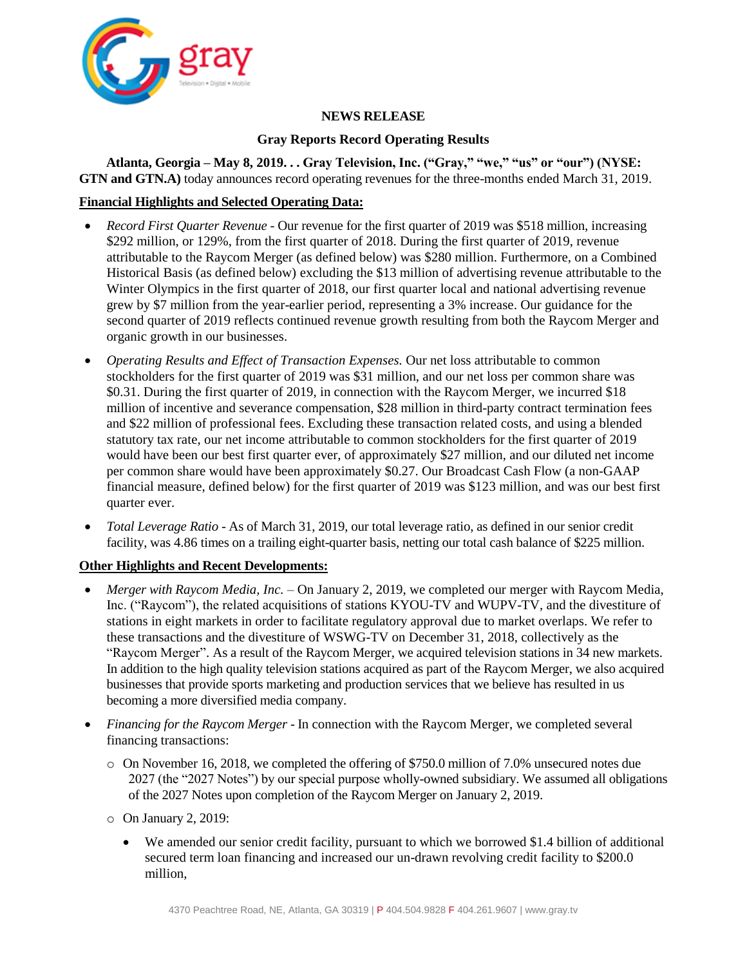

# **NEWS RELEASE**

# **Gray Reports Record Operating Results**

**Atlanta, Georgia – May 8, 2019. . . Gray Television, Inc. ("Gray," "we," "us" or "our") (NYSE: GTN and GTN.A)** today announces record operating revenues for the three-months ended March 31, 2019.

# **Financial Highlights and Selected Operating Data:**

- *Record First Quarter Revenue -* Our revenue for the first quarter of 2019 was \$518 million, increasing \$292 million, or 129%, from the first quarter of 2018. During the first quarter of 2019, revenue attributable to the Raycom Merger (as defined below) was \$280 million. Furthermore, on a Combined Historical Basis (as defined below) excluding the \$13 million of advertising revenue attributable to the Winter Olympics in the first quarter of 2018, our first quarter local and national advertising revenue grew by \$7 million from the year-earlier period, representing a 3% increase. Our guidance for the second quarter of 2019 reflects continued revenue growth resulting from both the Raycom Merger and organic growth in our businesses.
- *Operating Results and Effect of Transaction Expenses.* Our net loss attributable to common stockholders for the first quarter of 2019 was \$31 million, and our net loss per common share was \$0.31. During the first quarter of 2019, in connection with the Raycom Merger, we incurred \$18 million of incentive and severance compensation, \$28 million in third-party contract termination fees and \$22 million of professional fees. Excluding these transaction related costs, and using a blended statutory tax rate, our net income attributable to common stockholders for the first quarter of 2019 would have been our best first quarter ever, of approximately \$27 million, and our diluted net income per common share would have been approximately \$0.27. Our Broadcast Cash Flow (a non-GAAP financial measure, defined below) for the first quarter of 2019 was \$123 million, and was our best first quarter ever.
- *Total Leverage Ratio* As of March 31, 2019, our total leverage ratio, as defined in our senior credit facility, was 4.86 times on a trailing eight-quarter basis, netting our total cash balance of \$225 million.

# **Other Highlights and Recent Developments:**

- *Merger with Raycom Media, Inc.*  On January 2, 2019, we completed our merger with Raycom Media, Inc. ("Raycom"), the related acquisitions of stations KYOU-TV and WUPV-TV, and the divestiture of stations in eight markets in order to facilitate regulatory approval due to market overlaps. We refer to these transactions and the divestiture of WSWG-TV on December 31, 2018, collectively as the "Raycom Merger". As a result of the Raycom Merger, we acquired television stations in 34 new markets. In addition to the high quality television stations acquired as part of the Raycom Merger, we also acquired businesses that provide sports marketing and production services that we believe has resulted in us becoming a more diversified media company.
- *Financing for the Raycom Merger* In connection with the Raycom Merger, we completed several financing transactions:
	- o On November 16, 2018, we completed the offering of \$750.0 million of 7.0% unsecured notes due 2027 (the "2027 Notes") by our special purpose wholly-owned subsidiary. We assumed all obligations of the 2027 Notes upon completion of the Raycom Merger on January 2, 2019.
	- o On January 2, 2019:
		- We amended our senior credit facility, pursuant to which we borrowed \$1.4 billion of additional secured term loan financing and increased our un-drawn revolving credit facility to \$200.0 million,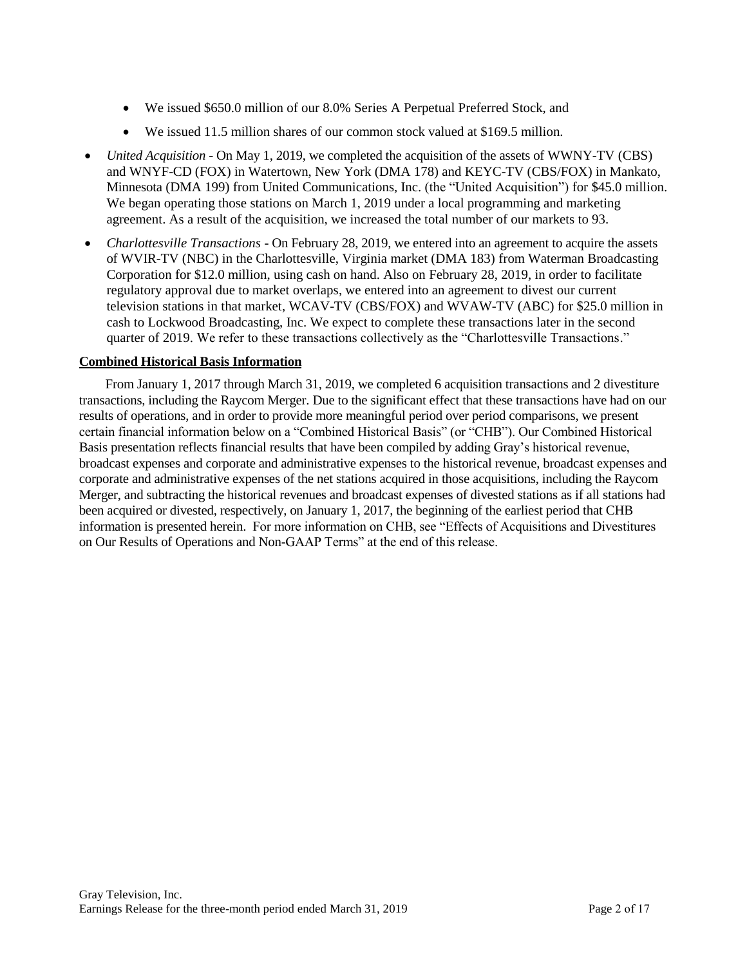- We issued \$650.0 million of our 8.0% Series A Perpetual Preferred Stock, and
- We issued 11.5 million shares of our common stock valued at \$169.5 million.
- *United Acquisition -* On May 1, 2019, we completed the acquisition of the assets of WWNY-TV (CBS) and WNYF-CD (FOX) in Watertown, New York (DMA 178) and KEYC-TV (CBS/FOX) in Mankato, Minnesota (DMA 199) from United Communications, Inc. (the "United Acquisition") for \$45.0 million. We began operating those stations on March 1, 2019 under a local programming and marketing agreement. As a result of the acquisition, we increased the total number of our markets to 93.
- *Charlottesville Transactions* On February 28, 2019, we entered into an agreement to acquire the assets of WVIR-TV (NBC) in the Charlottesville, Virginia market (DMA 183) from Waterman Broadcasting Corporation for \$12.0 million, using cash on hand. Also on February 28, 2019, in order to facilitate regulatory approval due to market overlaps, we entered into an agreement to divest our current television stations in that market, WCAV-TV (CBS/FOX) and WVAW-TV (ABC) for \$25.0 million in cash to Lockwood Broadcasting, Inc. We expect to complete these transactions later in the second quarter of 2019. We refer to these transactions collectively as the "Charlottesville Transactions."

### **Combined Historical Basis Information**

From January 1, 2017 through March 31, 2019, we completed 6 acquisition transactions and 2 divestiture transactions, including the Raycom Merger. Due to the significant effect that these transactions have had on our results of operations, and in order to provide more meaningful period over period comparisons, we present certain financial information below on a "Combined Historical Basis" (or "CHB"). Our Combined Historical Basis presentation reflects financial results that have been compiled by adding Gray's historical revenue, broadcast expenses and corporate and administrative expenses to the historical revenue, broadcast expenses and corporate and administrative expenses of the net stations acquired in those acquisitions, including the Raycom Merger, and subtracting the historical revenues and broadcast expenses of divested stations as if all stations had been acquired or divested, respectively, on January 1, 2017, the beginning of the earliest period that CHB information is presented herein. For more information on CHB, see "Effects of Acquisitions and Divestitures on Our Results of Operations and Non-GAAP Terms" at the end of this release.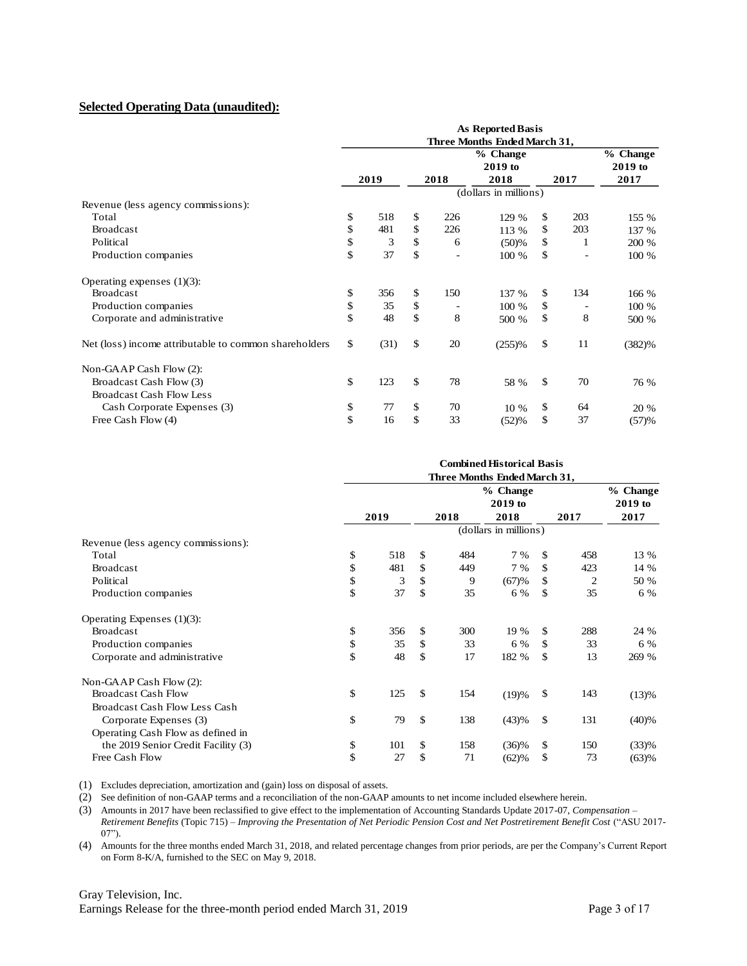#### **Selected Operating Data (unaudited):**

|                                                            | <b>As Reported Basis</b><br>Three Months Ended March 31, |      |              |                   |                             |      |     |                               |  |  |
|------------------------------------------------------------|----------------------------------------------------------|------|--------------|-------------------|-----------------------------|------|-----|-------------------------------|--|--|
|                                                            |                                                          |      | 2019<br>2018 |                   | % Change<br>2019 to<br>2018 | 2017 |     | % Change<br>$2019$ to<br>2017 |  |  |
|                                                            |                                                          |      |              |                   | (dollars in millions)       |      |     |                               |  |  |
| Revenue (less agency commissions):                         |                                                          |      |              |                   |                             |      |     |                               |  |  |
| Total                                                      | \$                                                       | 518  | \$           | 226               | 129 %                       | \$   | 203 | 155 %                         |  |  |
| <b>Broadcast</b>                                           | \$                                                       | 481  | \$           | 226               | 113 %                       | \$   | 203 | 137 %                         |  |  |
| Political                                                  | \$                                                       | 3    | \$           | 6                 | (50)%                       | \$   | 1   | 200 %                         |  |  |
| Production companies                                       | \$                                                       | 37   | \$           | $\qquad \qquad -$ | 100 %                       | \$   |     | 100 %                         |  |  |
| Operating expenses $(1)(3)$ :                              |                                                          |      |              |                   |                             |      |     |                               |  |  |
| <b>Broadcast</b>                                           | \$                                                       | 356  | \$           | 150               | 137 %                       | \$   | 134 | 166 %                         |  |  |
| Production companies                                       | \$                                                       | 35   | \$           | -                 | 100 %                       | \$   | ۰   | 100 %                         |  |  |
| Corporate and administrative                               | \$                                                       | 48   | \$           | 8                 | 500 %                       | \$   | 8   | 500 %                         |  |  |
| Net (loss) income attributable to common shareholders      | \$                                                       | (31) | \$           | 20                | (255)%                      | \$   | 11  | (382)%                        |  |  |
| Non-GAAP Cash Flow (2):                                    |                                                          |      |              |                   |                             |      |     |                               |  |  |
| Broadcast Cash Flow (3)<br><b>Broadcast Cash Flow Less</b> | \$                                                       | 123  | \$           | 78                | 58 %                        | \$   | 70  | 76 %                          |  |  |
|                                                            |                                                          |      |              | 70                |                             |      |     |                               |  |  |
| Cash Corporate Expenses (3)                                | \$<br>\$                                                 | 77   | \$<br>\$     |                   | 10 %                        | \$   | 64  | 20 %                          |  |  |
| Free Cash Flow (4)                                         |                                                          | 16   |              | 33                | (52)%                       | \$   | 37  | (57)%                         |  |  |

|                                     |                              |    |      | <b>Combined Historical Basis</b> |    |      |          |  |  |
|-------------------------------------|------------------------------|----|------|----------------------------------|----|------|----------|--|--|
|                                     | Three Months Ended March 31, |    |      |                                  |    |      |          |  |  |
|                                     |                              |    |      | % Change                         |    |      | % Change |  |  |
|                                     |                              |    |      | $2019$ to                        |    |      | 2019 to  |  |  |
|                                     | 2019                         |    | 2018 | 2018                             |    | 2017 | 2017     |  |  |
|                                     |                              |    |      | (dollars in millions)            |    |      |          |  |  |
| Revenue (less agency commissions):  |                              |    |      |                                  |    |      |          |  |  |
| Total                               | \$<br>518                    | \$ | 484  | 7 %                              | \$ | 458  | 13 %     |  |  |
| <b>Broadcast</b>                    | \$<br>481                    | \$ | 449  | 7 %                              | \$ | 423  | 14 %     |  |  |
| Political                           | \$<br>3                      | \$ | 9    | (67)%                            | \$ | 2    | 50 %     |  |  |
| Production companies                | \$<br>37                     | \$ | 35   | 6 %                              | \$ | 35   | 6 %      |  |  |
| Operating Expenses (1)(3):          |                              |    |      |                                  |    |      |          |  |  |
| <b>Broadcast</b>                    | \$<br>356                    | \$ | 300  | 19 %                             | \$ | 288  | 24 %     |  |  |
| Production companies                | \$<br>35                     | \$ | 33   | 6 %                              | \$ | 33   | 6 %      |  |  |
| Corporate and administrative        | \$<br>48                     | \$ | 17   | 182 %                            | \$ | 13   | 269 %    |  |  |
| Non-GAAP Cash Flow (2):             |                              |    |      |                                  |    |      |          |  |  |
| <b>Broadcast Cash Flow</b>          | \$<br>125                    | \$ | 154  | (19)%                            | \$ | 143  | (13)%    |  |  |
| Broadcast Cash Flow Less Cash       |                              |    |      |                                  |    |      |          |  |  |
| Corporate Expenses (3)              | \$<br>79                     | \$ | 138  | (43)%                            | \$ | 131  | (40)%    |  |  |
| Operating Cash Flow as defined in   |                              |    |      |                                  |    |      |          |  |  |
| the 2019 Senior Credit Facility (3) | \$<br>101                    | \$ | 158  | $(36)\%$                         | \$ | 150  | (33)%    |  |  |
| Free Cash Flow                      | \$<br>27                     | \$ | 71   | (62)%                            | \$ | 73   | (63)%    |  |  |

(1) Excludes depreciation, amortization and (gain) loss on disposal of assets.

(2) See definition of non-GAAP terms and a reconciliation of the non-GAAP amounts to net income included elsewhere herein.

(3) Amounts in 2017 have been reclassified to give effect to the implementation of Accounting Standards Update 2017-07, *Compensation – Retirement Benefits* (Topic 715) – *Improving the Presentation of Net Periodic Pension Cost and Net Postretirement Benefit Cost* ("ASU 2017- 07").

(4) Amounts for the three months ended March 31, 2018, and related percentage changes from prior periods, are per the Company's Current Report on Form 8-K/A, furnished to the SEC on May 9, 2018.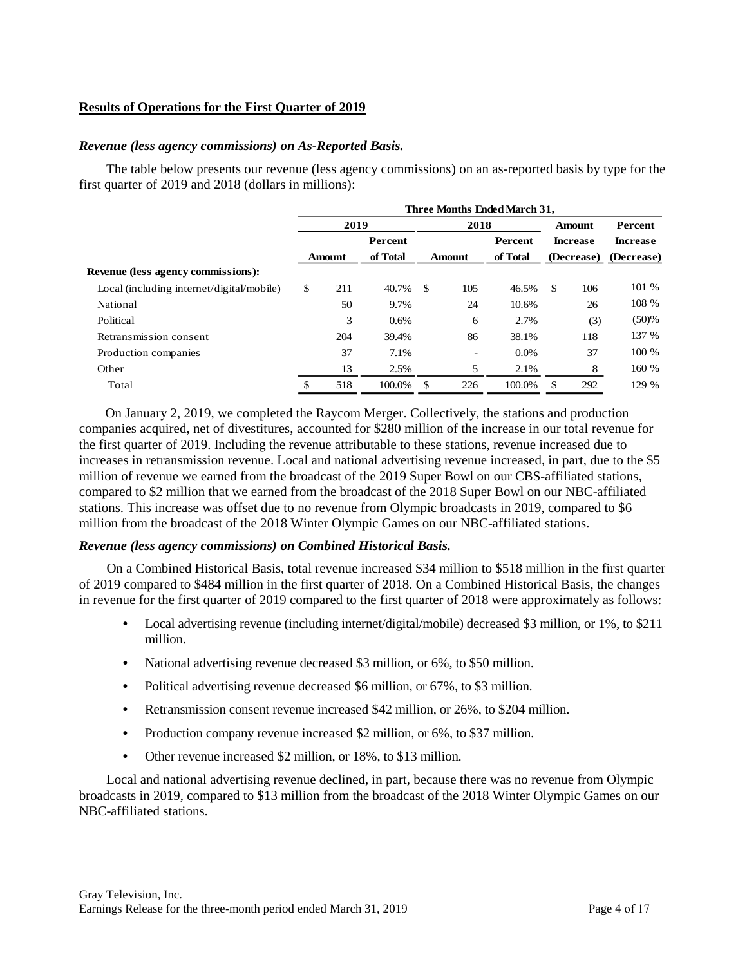## **Results of Operations for the First Quarter of 2019**

#### *Revenue (less agency commissions) on As-Reported Basis.*

The table below presents our revenue (less agency commissions) on an as-reported basis by type for the first quarter of 2019 and 2018 (dollars in millions):

|                                           | Three Months Ended March 31, |                                          |        |      |      |            |    |                 |                 |  |
|-------------------------------------------|------------------------------|------------------------------------------|--------|------|------|------------|----|-----------------|-----------------|--|
|                                           |                              | 2019                                     |        |      | 2018 |            |    | Amount          | Percent         |  |
|                                           |                              | Percent                                  |        |      |      | Percent    |    | <b>Increase</b> | <b>Increase</b> |  |
|                                           |                              | of Total<br>of Total<br>Amount<br>Amount |        |      |      | (Decrease) |    | (Decrease)      |                 |  |
| <b>Revenue (less agency commissions):</b> |                              |                                          |        |      |      |            |    |                 |                 |  |
| Local (including internet/digital/mobile) | \$                           | 211                                      | 40.7%  | - \$ | 105  | 46.5%      | \$ | 106             | 101 %           |  |
| National                                  |                              | 50                                       | 9.7%   |      | 24   | 10.6%      |    | 26              | 108 %           |  |
| Political                                 |                              | 3                                        | 0.6%   |      | 6    | 2.7%       |    | (3)             | (50)%           |  |
| Retransmission consent                    |                              | 204                                      | 39.4%  |      | 86   | 38.1%      |    | 118             | 137 %           |  |
| Production companies                      |                              | 37                                       | 7.1%   |      | -    | $0.0\%$    |    | 37              | 100 %           |  |
| Other                                     |                              | 13                                       | 2.5%   |      | 5    | 2.1%       |    | 8               | 160 %           |  |
| Total                                     |                              | 518                                      | 100.0% | \$   | 226  | 100.0%     | £. | 292             | 129 %           |  |

On January 2, 2019, we completed the Raycom Merger. Collectively, the stations and production companies acquired, net of divestitures, accounted for \$280 million of the increase in our total revenue for the first quarter of 2019. Including the revenue attributable to these stations, revenue increased due to increases in retransmission revenue. Local and national advertising revenue increased, in part, due to the \$5 million of revenue we earned from the broadcast of the 2019 Super Bowl on our CBS-affiliated stations, compared to \$2 million that we earned from the broadcast of the 2018 Super Bowl on our NBC-affiliated stations. This increase was offset due to no revenue from Olympic broadcasts in 2019, compared to \$6 million from the broadcast of the 2018 Winter Olympic Games on our NBC-affiliated stations.

#### *Revenue (less agency commissions) on Combined Historical Basis.*

On a Combined Historical Basis, total revenue increased \$34 million to \$518 million in the first quarter of 2019 compared to \$484 million in the first quarter of 2018. On a Combined Historical Basis, the changes in revenue for the first quarter of 2019 compared to the first quarter of 2018 were approximately as follows:

- **•** Local advertising revenue (including internet/digital/mobile) decreased \$3 million, or 1%, to \$211 million.
- **•** National advertising revenue decreased \$3 million, or 6%, to \$50 million.
- **•** Political advertising revenue decreased \$6 million, or 67%, to \$3 million.
- **•** Retransmission consent revenue increased \$42 million, or 26%, to \$204 million.
- Production company revenue increased \$2 million, or 6%, to \$37 million.
- **•** Other revenue increased \$2 million, or 18%, to \$13 million.

Local and national advertising revenue declined, in part, because there was no revenue from Olympic broadcasts in 2019, compared to \$13 million from the broadcast of the 2018 Winter Olympic Games on our NBC-affiliated stations.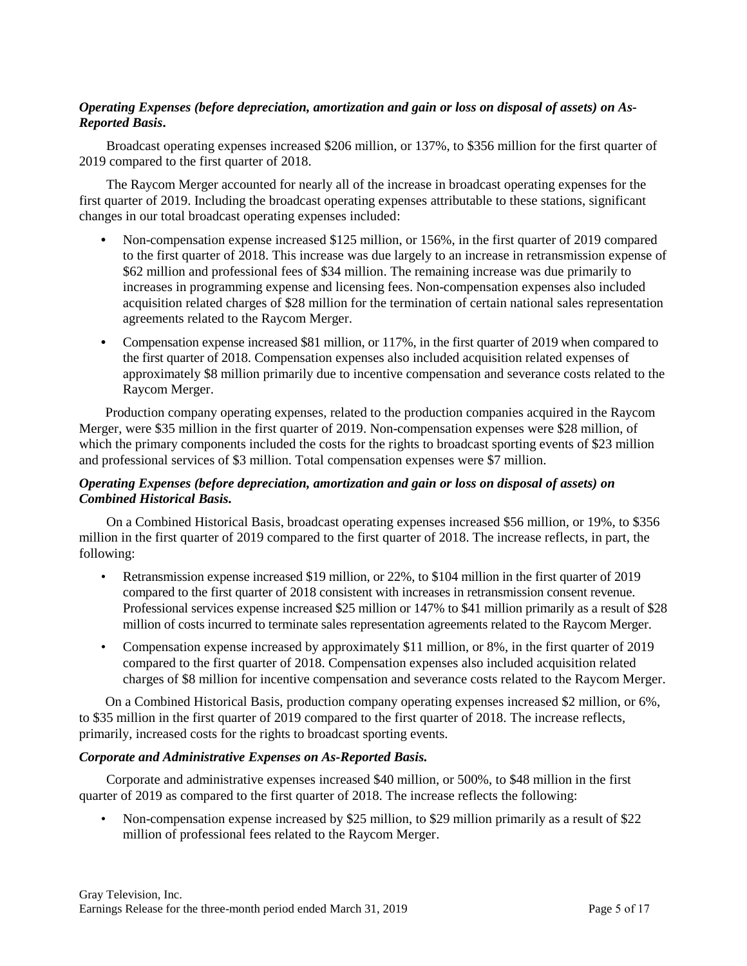# *Operating Expenses (before depreciation, amortization and gain or loss on disposal of assets) on As-Reported Basis***.**

Broadcast operating expenses increased \$206 million, or 137%, to \$356 million for the first quarter of 2019 compared to the first quarter of 2018.

The Raycom Merger accounted for nearly all of the increase in broadcast operating expenses for the first quarter of 2019. Including the broadcast operating expenses attributable to these stations, significant changes in our total broadcast operating expenses included:

- **•** Non-compensation expense increased \$125 million, or 156%, in the first quarter of 2019 compared to the first quarter of 2018. This increase was due largely to an increase in retransmission expense of \$62 million and professional fees of \$34 million. The remaining increase was due primarily to increases in programming expense and licensing fees. Non-compensation expenses also included acquisition related charges of \$28 million for the termination of certain national sales representation agreements related to the Raycom Merger.
- **•** Compensation expense increased \$81 million, or 117%, in the first quarter of 2019 when compared to the first quarter of 2018. Compensation expenses also included acquisition related expenses of approximately \$8 million primarily due to incentive compensation and severance costs related to the Raycom Merger.

Production company operating expenses, related to the production companies acquired in the Raycom Merger, were \$35 million in the first quarter of 2019. Non-compensation expenses were \$28 million, of which the primary components included the costs for the rights to broadcast sporting events of \$23 million and professional services of \$3 million. Total compensation expenses were \$7 million.

# *Operating Expenses (before depreciation, amortization and gain or loss on disposal of assets) on Combined Historical Basis.*

On a Combined Historical Basis, broadcast operating expenses increased \$56 million, or 19%, to \$356 million in the first quarter of 2019 compared to the first quarter of 2018. The increase reflects, in part, the following:

- Retransmission expense increased \$19 million, or 22%, to \$104 million in the first quarter of 2019 compared to the first quarter of 2018 consistent with increases in retransmission consent revenue. Professional services expense increased \$25 million or 147% to \$41 million primarily as a result of \$28 million of costs incurred to terminate sales representation agreements related to the Raycom Merger.
- Compensation expense increased by approximately \$11 million, or 8%, in the first quarter of 2019 compared to the first quarter of 2018. Compensation expenses also included acquisition related charges of \$8 million for incentive compensation and severance costs related to the Raycom Merger.

On a Combined Historical Basis, production company operating expenses increased \$2 million, or 6%, to \$35 million in the first quarter of 2019 compared to the first quarter of 2018. The increase reflects, primarily, increased costs for the rights to broadcast sporting events.

### *Corporate and Administrative Expenses on As-Reported Basis.*

Corporate and administrative expenses increased \$40 million, or 500%, to \$48 million in the first quarter of 2019 as compared to the first quarter of 2018. The increase reflects the following:

• Non-compensation expense increased by \$25 million, to \$29 million primarily as a result of \$22 million of professional fees related to the Raycom Merger.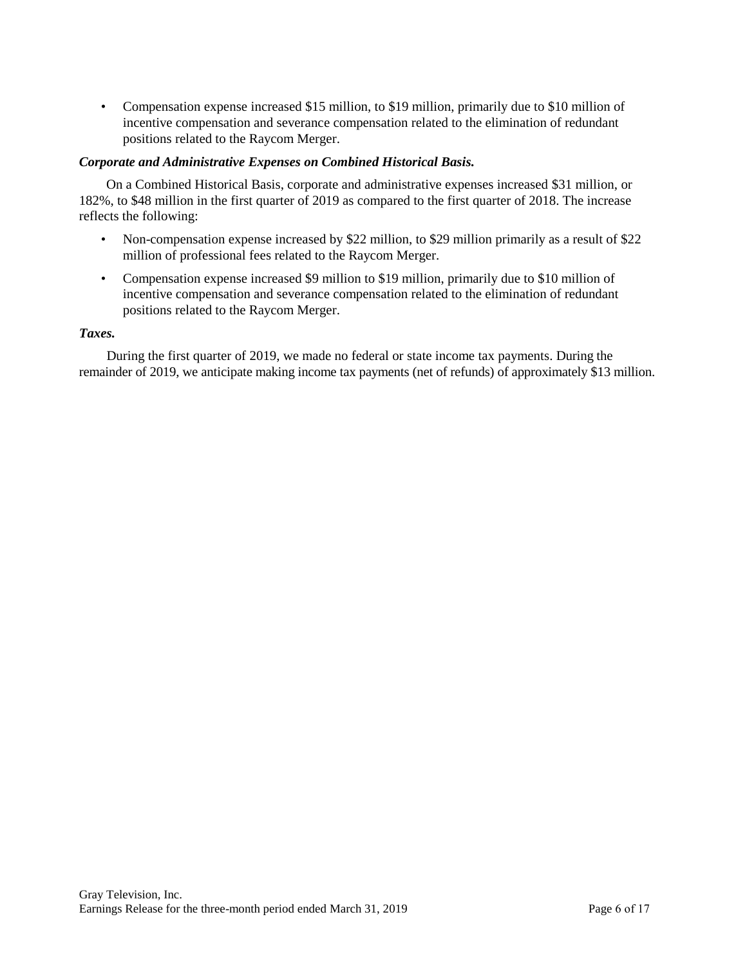• Compensation expense increased \$15 million, to \$19 million, primarily due to \$10 million of incentive compensation and severance compensation related to the elimination of redundant positions related to the Raycom Merger.

### *Corporate and Administrative Expenses on Combined Historical Basis.*

On a Combined Historical Basis, corporate and administrative expenses increased \$31 million, or 182%, to \$48 million in the first quarter of 2019 as compared to the first quarter of 2018. The increase reflects the following:

- Non-compensation expense increased by \$22 million, to \$29 million primarily as a result of \$22 million of professional fees related to the Raycom Merger.
- Compensation expense increased \$9 million to \$19 million, primarily due to \$10 million of incentive compensation and severance compensation related to the elimination of redundant positions related to the Raycom Merger.

### *Taxes.*

During the first quarter of 2019, we made no federal or state income tax payments. During the remainder of 2019, we anticipate making income tax payments (net of refunds) of approximately \$13 million.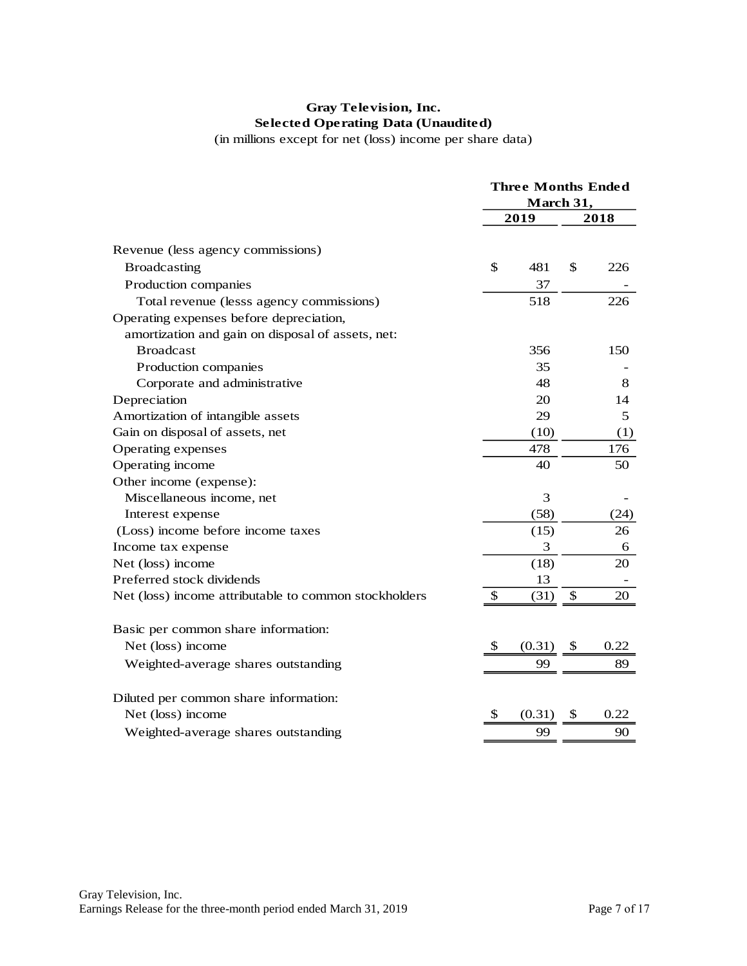# **Gray Television, Inc. Selected Operating Data (Unaudited)**

(in millions except for net (loss) income per share data)

|                                                       |              | <b>Three Months Ended</b> |    |      |  |  |
|-------------------------------------------------------|--------------|---------------------------|----|------|--|--|
|                                                       |              | March 31,                 |    |      |  |  |
|                                                       |              | 2019                      |    | 2018 |  |  |
| Revenue (less agency commissions)                     |              |                           |    |      |  |  |
| <b>Broadcasting</b>                                   | \$           | 481                       | \$ | 226  |  |  |
| Production companies                                  |              | 37                        |    |      |  |  |
| Total revenue (lesss agency commissions)              |              | 518                       |    | 226  |  |  |
| Operating expenses before depreciation,               |              |                           |    |      |  |  |
| amortization and gain on disposal of assets, net:     |              |                           |    |      |  |  |
| <b>Broadcast</b>                                      |              | 356                       |    | 150  |  |  |
| Production companies                                  |              | 35                        |    |      |  |  |
| Corporate and administrative                          |              | 48                        |    | 8    |  |  |
| Depreciation                                          |              | 20                        |    | 14   |  |  |
| Amortization of intangible assets                     |              | 29                        |    | 5    |  |  |
| Gain on disposal of assets, net                       |              | (10)                      |    | (1)  |  |  |
| Operating expenses                                    |              | 478                       |    | 176  |  |  |
| Operating income                                      |              | 40                        |    | 50   |  |  |
| Other income (expense):                               |              |                           |    |      |  |  |
| Miscellaneous income, net                             |              | 3                         |    |      |  |  |
| Interest expense                                      |              | (58)                      |    | (24) |  |  |
| (Loss) income before income taxes                     |              | (15)                      |    | 26   |  |  |
| Income tax expense                                    |              | 3                         |    | 6    |  |  |
| Net (loss) income                                     |              | (18)                      |    | 20   |  |  |
| Preferred stock dividends                             |              | 13                        |    |      |  |  |
| Net (loss) income attributable to common stockholders | \$           | (31)                      | \$ | 20   |  |  |
| Basic per common share information:                   |              |                           |    |      |  |  |
| Net (loss) income                                     | $\mathbb{S}$ | (0.31)                    | \$ | 0.22 |  |  |
| Weighted-average shares outstanding                   |              | 99                        |    | 89   |  |  |
| Diluted per common share information:                 |              |                           |    |      |  |  |
| Net (loss) income                                     | \$           | (0.31)                    | \$ | 0.22 |  |  |
| Weighted-average shares outstanding                   |              | 99                        |    | 90   |  |  |
|                                                       |              |                           |    |      |  |  |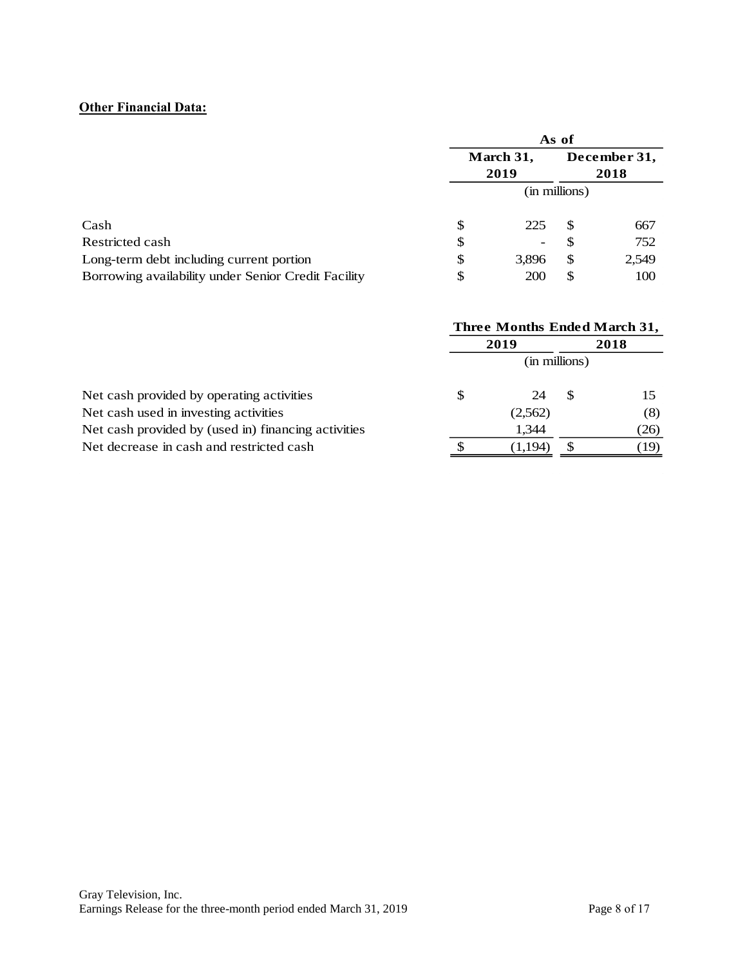# **Other Financial Data:**

|                                                     | As of     |            |               |       |  |  |
|-----------------------------------------------------|-----------|------------|---------------|-------|--|--|
|                                                     | March 31, |            | December 31,  |       |  |  |
|                                                     |           | 2019       | 2018          |       |  |  |
|                                                     |           |            | (in millions) |       |  |  |
| Cash                                                | S         | 225        | S             | 667   |  |  |
| Restricted cash                                     | \$        |            |               | 752   |  |  |
| Long-term debt including current portion            | \$        | 3,896      | <sup>\$</sup> | 2,549 |  |  |
| Borrowing availability under Senior Credit Facility | \$        | <b>200</b> | S             | 100   |  |  |

|                                                     | Three Months Ended March 31, |         |               |      |  |  |  |
|-----------------------------------------------------|------------------------------|---------|---------------|------|--|--|--|
|                                                     |                              | 2019    |               |      |  |  |  |
|                                                     |                              |         | (in millions) |      |  |  |  |
| Net cash provided by operating activities           | S                            | 24      |               |      |  |  |  |
| Net cash used in investing activities               |                              | (2,562) |               | (8)  |  |  |  |
| Net cash provided by (used in) financing activities |                              | 1.344   |               | (26) |  |  |  |
| Net decrease in cash and restricted cash            |                              | (1.194) |               | (19) |  |  |  |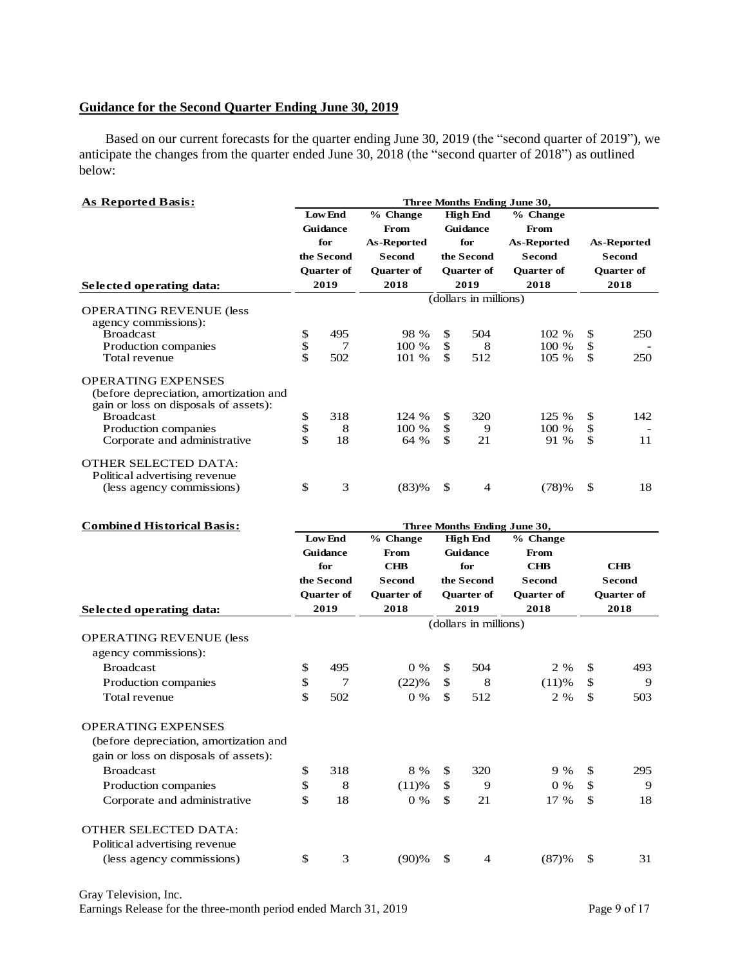# **Guidance for the Second Quarter Ending June 30, 2019**

Based on our current forecasts for the quarter ending June 30, 2019 (the "second quarter of 2019"), we anticipate the changes from the quarter ended June 30, 2018 (the "second quarter of 2018") as outlined below:

| As Reported Basis:                                      |      |                   |                   |                 |                       | Three Months Ending June 30, |              |                   |
|---------------------------------------------------------|------|-------------------|-------------------|-----------------|-----------------------|------------------------------|--------------|-------------------|
|                                                         |      | <b>Low End</b>    | % Change          | <b>High End</b> |                       | % Change                     |              |                   |
|                                                         |      | <b>Guidance</b>   | From              |                 | <b>Guidance</b>       | From                         |              |                   |
|                                                         |      | for               | As-Reported       |                 | for                   | As-Reported                  |              | As-Reported       |
|                                                         |      | the Second        | <b>Second</b>     |                 | the Second            | <b>Second</b>                |              | <b>Second</b>     |
|                                                         |      | <b>Ouarter of</b> | <b>Ouarter of</b> |                 | <b>Ouarter of</b>     | <b>Ouarter of</b>            |              | <b>Ouarter of</b> |
| Selected operating data:                                | 2019 |                   | 2018              | 2019            |                       | 2018                         | 2018         |                   |
|                                                         |      |                   |                   |                 | (dollars in millions) |                              |              |                   |
| <b>OPERATING REVENUE (less)</b><br>agency commissions): |      |                   |                   |                 |                       |                              |              |                   |
| <b>Broadcast</b>                                        | \$   | 495               | 98 %              | \$              | 504                   | 102 %                        | \$           | 250               |
| Production companies                                    | \$   | 7                 | 100 %             | \$              | 8                     | 100 %                        | \$           |                   |
| Total revenue                                           | \$   | 502               | 101 %             | \$              | 512                   | 105 %                        | \$           | 250               |
| <b>OPERATING EXPENSES</b>                               |      |                   |                   |                 |                       |                              |              |                   |
| (before depreciation, amortization and                  |      |                   |                   |                 |                       |                              |              |                   |
| gain or loss on disposals of assets):                   |      |                   |                   |                 |                       |                              |              |                   |
| <b>Broadcast</b>                                        | \$   | 318               | 124 %             | \$              | 320                   | 125 %                        | \$           | 142               |
| Production companies                                    | \$   | 8                 | 100 %             | \$              | 9                     | 100 %                        | \$           |                   |
| Corporate and administrative                            | \$   | 18                | 64 %              | \$              | 21                    | 91 %                         | \$           | 11                |
| <b>OTHER SELECTED DATA:</b>                             |      |                   |                   |                 |                       |                              |              |                   |
| Political advertising revenue                           |      |                   |                   |                 |                       |                              |              |                   |
| (less agency commissions)                               | \$   | 3                 | (83)%             | \$              | $\overline{4}$        | (78)%                        | $\mathbb{S}$ | 18                |
| <b>Combined Historical Basis:</b>                       |      |                   |                   |                 |                       | Three Months Ending June 30, |              |                   |
|                                                         |      | <b>Low End</b>    | % Change          |                 | <b>High End</b>       | % Change                     |              |                   |
|                                                         |      | Guidance          | From              |                 | Guidance              | From                         |              |                   |

|                                                                                 | <b>Guidance</b><br><b>Guidance</b><br>From<br>for<br>CHB<br>for<br>the Second<br>the Second<br><b>Second</b> |                           |                           | From<br><b>CHB</b><br><b>Second</b> |                       | <b>CHB</b><br><b>Second</b> |               |                           |
|---------------------------------------------------------------------------------|--------------------------------------------------------------------------------------------------------------|---------------------------|---------------------------|-------------------------------------|-----------------------|-----------------------------|---------------|---------------------------|
|                                                                                 |                                                                                                              | <b>Quarter of</b><br>2019 | <b>Ouarter of</b><br>2018 | <b>Quarter of</b><br>2019           |                       | <b>Quarter of</b><br>2018   |               | <b>Quarter of</b><br>2018 |
| Selected operating data:                                                        |                                                                                                              |                           |                           |                                     |                       |                             |               |                           |
| <b>OPERATING REVENUE (less</b><br>agency commissions):                          |                                                                                                              |                           |                           |                                     | (dollars in millions) |                             |               |                           |
| <b>Broadcast</b>                                                                | \$                                                                                                           | 495                       | $0\%$                     | \$                                  | 504                   | 2 %                         | \$            | 493                       |
| Production companies                                                            | \$                                                                                                           | 7                         | (22)%                     | \$                                  | 8                     | (11)%                       | \$            | 9                         |
| Total revenue                                                                   | \$                                                                                                           | 502                       | $0\%$                     | \$                                  | 512                   | 2 %                         | $\mathbb{S}$  | 503                       |
| <b>OPERATING EXPENSES</b>                                                       |                                                                                                              |                           |                           |                                     |                       |                             |               |                           |
| (before depreciation, amortization and<br>gain or loss on disposals of assets): |                                                                                                              |                           |                           |                                     |                       |                             |               |                           |
| <b>Broadcast</b>                                                                | \$                                                                                                           | 318                       | 8 %                       | <sup>\$</sup>                       | 320                   | $9\%$                       | \$            | 295                       |
| Production companies                                                            | \$                                                                                                           | 8                         | (11)%                     | \$                                  | 9                     | $0\%$                       | \$            | 9                         |
| Corporate and administrative                                                    | \$                                                                                                           | 18                        | $0\%$                     | \$                                  | 21                    | 17 %                        | \$            | 18                        |
| <b>OTHER SELECTED DATA:</b><br>Political advertising revenue                    |                                                                                                              |                           |                           |                                     |                       |                             |               |                           |
| (less agency commissions)                                                       | \$                                                                                                           | 3                         | $(90)$ %                  | $\mathbf{\$}$                       | $\overline{4}$        | (87)%                       | $\mathbf{\$}$ | 31                        |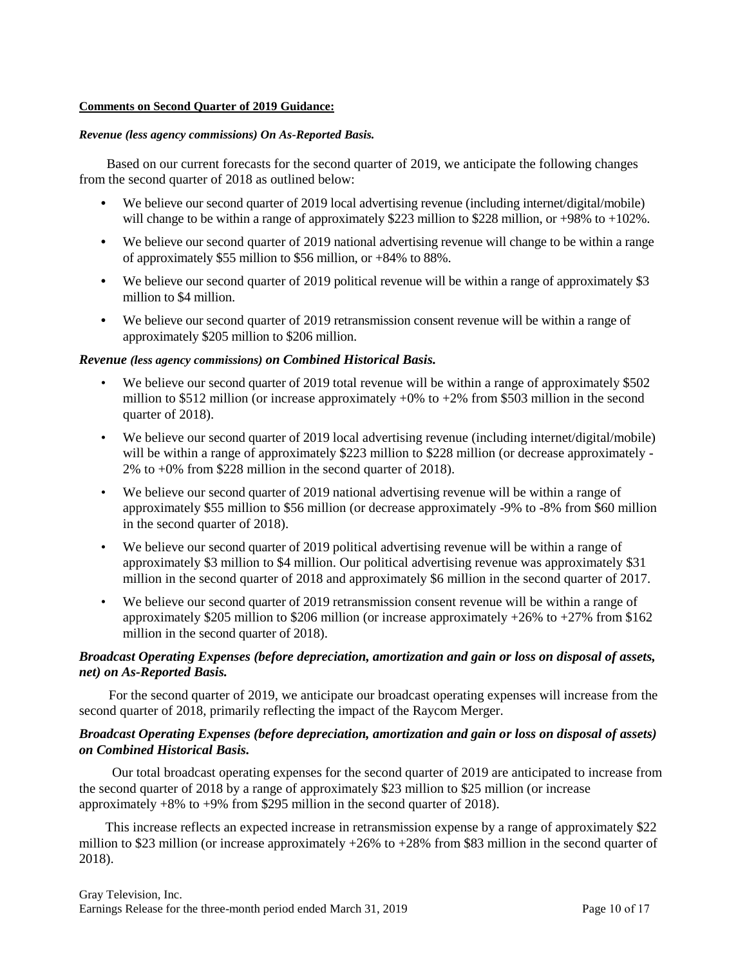#### **Comments on Second Quarter of 2019 Guidance:**

#### *Revenue (less agency commissions) On As-Reported Basis.*

Based on our current forecasts for the second quarter of 2019, we anticipate the following changes from the second quarter of 2018 as outlined below:

- **•** We believe our second quarter of 2019 local advertising revenue (including internet/digital/mobile) will change to be within a range of approximately \$223 million to \$228 million, or +98% to +102%.
- We believe our second quarter of 2019 national advertising revenue will change to be within a range of approximately \$55 million to \$56 million, or +84% to 88%.
- We believe our second quarter of 2019 political revenue will be within a range of approximately \$3 million to \$4 million.
- **•** We believe our second quarter of 2019 retransmission consent revenue will be within a range of approximately \$205 million to \$206 million.

### *Revenue (less agency commissions) on Combined Historical Basis.*

- We believe our second quarter of 2019 total revenue will be within a range of approximately \$502 million to \$512 million (or increase approximately  $+0\%$  to  $+2\%$  from \$503 million in the second quarter of 2018).
- We believe our second quarter of 2019 local advertising revenue (including internet/digital/mobile) will be within a range of approximately \$223 million to \$228 million (or decrease approximately -2% to +0% from \$228 million in the second quarter of 2018).
- We believe our second quarter of 2019 national advertising revenue will be within a range of approximately \$55 million to \$56 million (or decrease approximately -9% to -8% from \$60 million in the second quarter of 2018).
- We believe our second quarter of 2019 political advertising revenue will be within a range of approximately \$3 million to \$4 million. Our political advertising revenue was approximately \$31 million in the second quarter of 2018 and approximately \$6 million in the second quarter of 2017.
- We believe our second quarter of 2019 retransmission consent revenue will be within a range of approximately \$205 million to \$206 million (or increase approximately +26% to +27% from \$162 million in the second quarter of 2018).

# *Broadcast Operating Expenses (before depreciation, amortization and gain or loss on disposal of assets, net) on As-Reported Basis.*

For the second quarter of 2019, we anticipate our broadcast operating expenses will increase from the second quarter of 2018, primarily reflecting the impact of the Raycom Merger.

### *Broadcast Operating Expenses (before depreciation, amortization and gain or loss on disposal of assets) on Combined Historical Basis.*

Our total broadcast operating expenses for the second quarter of 2019 are anticipated to increase from the second quarter of 2018 by a range of approximately \$23 million to \$25 million (or increase approximately +8% to +9% from \$295 million in the second quarter of 2018).

This increase reflects an expected increase in retransmission expense by a range of approximately \$22 million to \$23 million (or increase approximately  $+26\%$  to  $+28\%$  from \$83 million in the second quarter of 2018).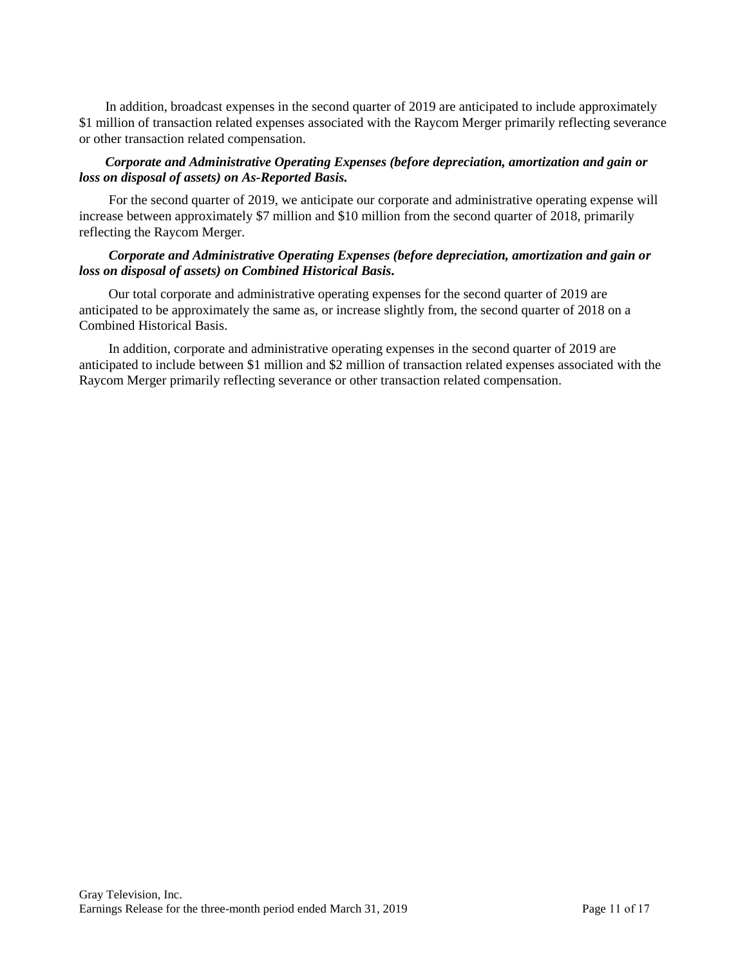In addition, broadcast expenses in the second quarter of 2019 are anticipated to include approximately \$1 million of transaction related expenses associated with the Raycom Merger primarily reflecting severance or other transaction related compensation.

## *Corporate and Administrative Operating Expenses (before depreciation, amortization and gain or loss on disposal of assets) on As-Reported Basis.*

For the second quarter of 2019, we anticipate our corporate and administrative operating expense will increase between approximately \$7 million and \$10 million from the second quarter of 2018, primarily reflecting the Raycom Merger.

### *Corporate and Administrative Operating Expenses (before depreciation, amortization and gain or loss on disposal of assets) on Combined Historical Basis.*

Our total corporate and administrative operating expenses for the second quarter of 2019 are anticipated to be approximately the same as, or increase slightly from, the second quarter of 2018 on a Combined Historical Basis.

In addition, corporate and administrative operating expenses in the second quarter of 2019 are anticipated to include between \$1 million and \$2 million of transaction related expenses associated with the Raycom Merger primarily reflecting severance or other transaction related compensation.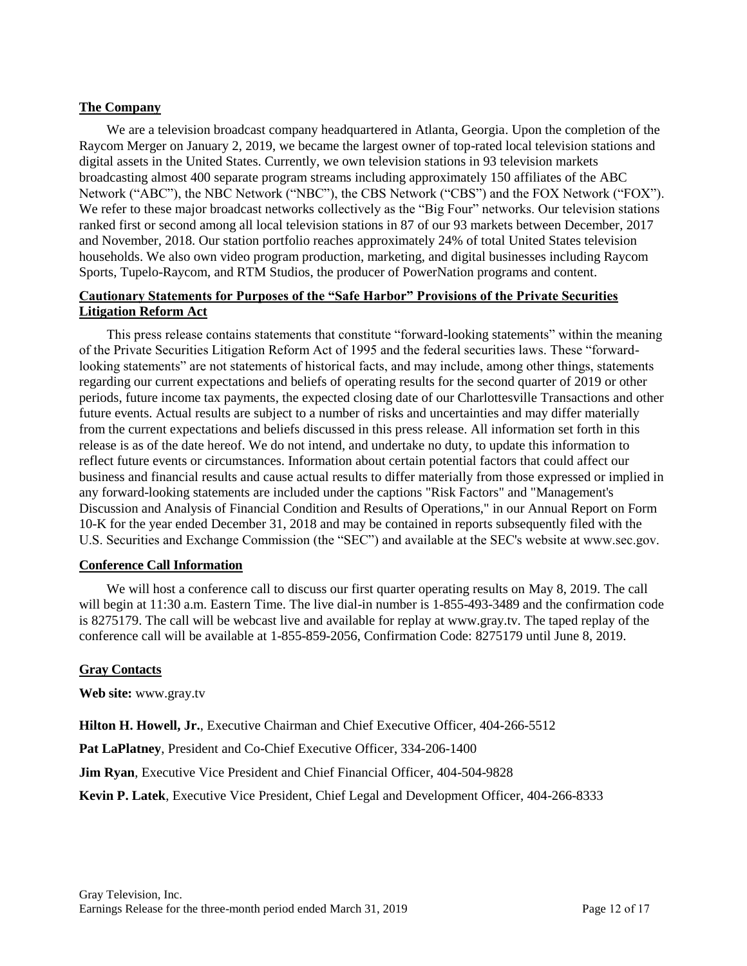## **The Company**

We are a television broadcast company headquartered in Atlanta, Georgia. Upon the completion of the Raycom Merger on January 2, 2019, we became the largest owner of top-rated local television stations and digital assets in the United States. Currently, we own television stations in 93 television markets broadcasting almost 400 separate program streams including approximately 150 affiliates of the ABC Network ("ABC"), the NBC Network ("NBC"), the CBS Network ("CBS") and the FOX Network ("FOX"). We refer to these major broadcast networks collectively as the "Big Four" networks. Our television stations ranked first or second among all local television stations in 87 of our 93 markets between December, 2017 and November, 2018. Our station portfolio reaches approximately 24% of total United States television households. We also own video program production, marketing, and digital businesses including Raycom Sports, Tupelo-Raycom, and RTM Studios, the producer of PowerNation programs and content.

# **Cautionary Statements for Purposes of the "Safe Harbor" Provisions of the Private Securities Litigation Reform Act**

This press release contains statements that constitute "forward-looking statements" within the meaning of the Private Securities Litigation Reform Act of 1995 and the federal securities laws. These "forwardlooking statements" are not statements of historical facts, and may include, among other things, statements regarding our current expectations and beliefs of operating results for the second quarter of 2019 or other periods, future income tax payments, the expected closing date of our Charlottesville Transactions and other future events. Actual results are subject to a number of risks and uncertainties and may differ materially from the current expectations and beliefs discussed in this press release. All information set forth in this release is as of the date hereof. We do not intend, and undertake no duty, to update this information to reflect future events or circumstances. Information about certain potential factors that could affect our business and financial results and cause actual results to differ materially from those expressed or implied in any forward-looking statements are included under the captions "Risk Factors" and "Management's Discussion and Analysis of Financial Condition and Results of Operations," in our Annual Report on Form 10-K for the year ended December 31, 2018 and may be contained in reports subsequently filed with the U.S. Securities and Exchange Commission (the "SEC") and available at the SEC's website at www.sec.gov.

### **Conference Call Information**

We will host a conference call to discuss our first quarter operating results on May 8, 2019. The call will begin at 11:30 a.m. Eastern Time. The live dial-in number is 1-855-493-3489 and the confirmation code is 8275179. The call will be webcast live and available for replay at www.gray.tv. The taped replay of the conference call will be available at 1-855-859-2056, Confirmation Code: 8275179 until June 8, 2019.

### **Gray Contacts**

**Web site:** www.gray.tv

**Hilton H. Howell, Jr.**, Executive Chairman and Chief Executive Officer, 404-266-5512

**Pat LaPlatney**, President and Co-Chief Executive Officer, 334-206-1400

**Jim Ryan**, Executive Vice President and Chief Financial Officer, 404-504-9828

**Kevin P. Latek**, Executive Vice President, Chief Legal and Development Officer, 404-266-8333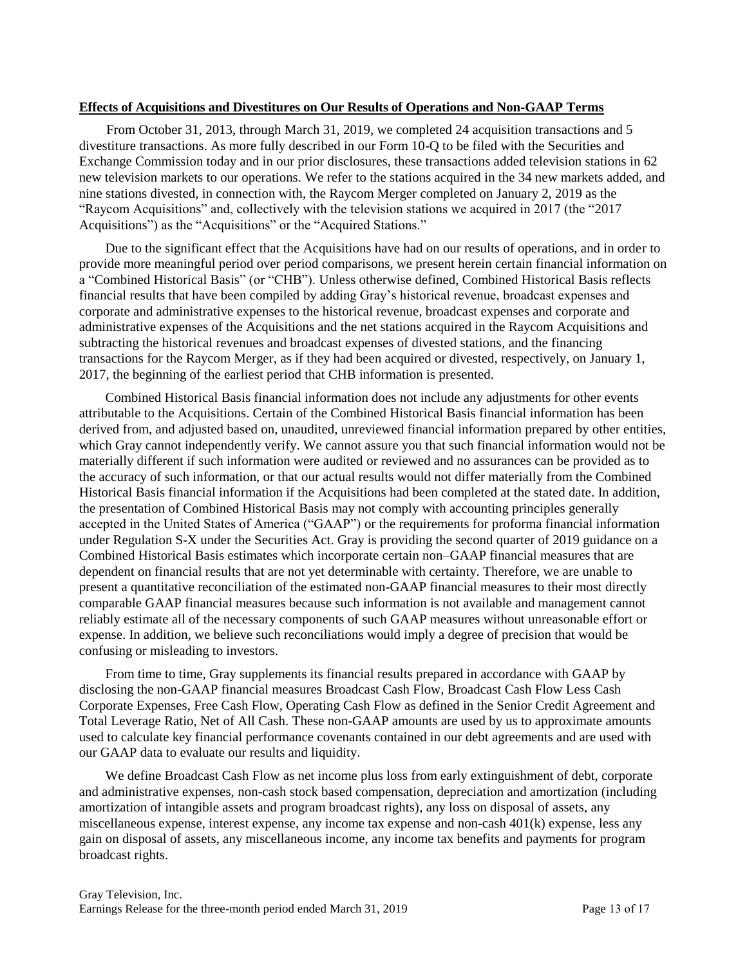#### **Effects of Acquisitions and Divestitures on Our Results of Operations and Non-GAAP Terms**

From October 31, 2013, through March 31, 2019, we completed 24 acquisition transactions and 5 divestiture transactions. As more fully described in our Form 10-Q to be filed with the Securities and Exchange Commission today and in our prior disclosures, these transactions added television stations in 62 new television markets to our operations. We refer to the stations acquired in the 34 new markets added, and nine stations divested, in connection with, the Raycom Merger completed on January 2, 2019 as the "Raycom Acquisitions" and, collectively with the television stations we acquired in 2017 (the "2017 Acquisitions") as the "Acquisitions" or the "Acquired Stations."

Due to the significant effect that the Acquisitions have had on our results of operations, and in order to provide more meaningful period over period comparisons, we present herein certain financial information on a "Combined Historical Basis" (or "CHB"). Unless otherwise defined, Combined Historical Basis reflects financial results that have been compiled by adding Gray's historical revenue, broadcast expenses and corporate and administrative expenses to the historical revenue, broadcast expenses and corporate and administrative expenses of the Acquisitions and the net stations acquired in the Raycom Acquisitions and subtracting the historical revenues and broadcast expenses of divested stations, and the financing transactions for the Raycom Merger, as if they had been acquired or divested, respectively, on January 1, 2017, the beginning of the earliest period that CHB information is presented.

Combined Historical Basis financial information does not include any adjustments for other events attributable to the Acquisitions. Certain of the Combined Historical Basis financial information has been derived from, and adjusted based on, unaudited, unreviewed financial information prepared by other entities, which Gray cannot independently verify. We cannot assure you that such financial information would not be materially different if such information were audited or reviewed and no assurances can be provided as to the accuracy of such information, or that our actual results would not differ materially from the Combined Historical Basis financial information if the Acquisitions had been completed at the stated date. In addition, the presentation of Combined Historical Basis may not comply with accounting principles generally accepted in the United States of America ("GAAP") or the requirements for proforma financial information under Regulation S-X under the Securities Act. Gray is providing the second quarter of 2019 guidance on a Combined Historical Basis estimates which incorporate certain non–GAAP financial measures that are dependent on financial results that are not yet determinable with certainty. Therefore, we are unable to present a quantitative reconciliation of the estimated non-GAAP financial measures to their most directly comparable GAAP financial measures because such information is not available and management cannot reliably estimate all of the necessary components of such GAAP measures without unreasonable effort or expense. In addition, we believe such reconciliations would imply a degree of precision that would be confusing or misleading to investors.

From time to time, Gray supplements its financial results prepared in accordance with GAAP by disclosing the non-GAAP financial measures Broadcast Cash Flow, Broadcast Cash Flow Less Cash Corporate Expenses, Free Cash Flow, Operating Cash Flow as defined in the Senior Credit Agreement and Total Leverage Ratio, Net of All Cash. These non-GAAP amounts are used by us to approximate amounts used to calculate key financial performance covenants contained in our debt agreements and are used with our GAAP data to evaluate our results and liquidity.

We define Broadcast Cash Flow as net income plus loss from early extinguishment of debt, corporate and administrative expenses, non-cash stock based compensation, depreciation and amortization (including amortization of intangible assets and program broadcast rights), any loss on disposal of assets, any miscellaneous expense, interest expense, any income tax expense and non-cash 401(k) expense, less any gain on disposal of assets, any miscellaneous income, any income tax benefits and payments for program broadcast rights.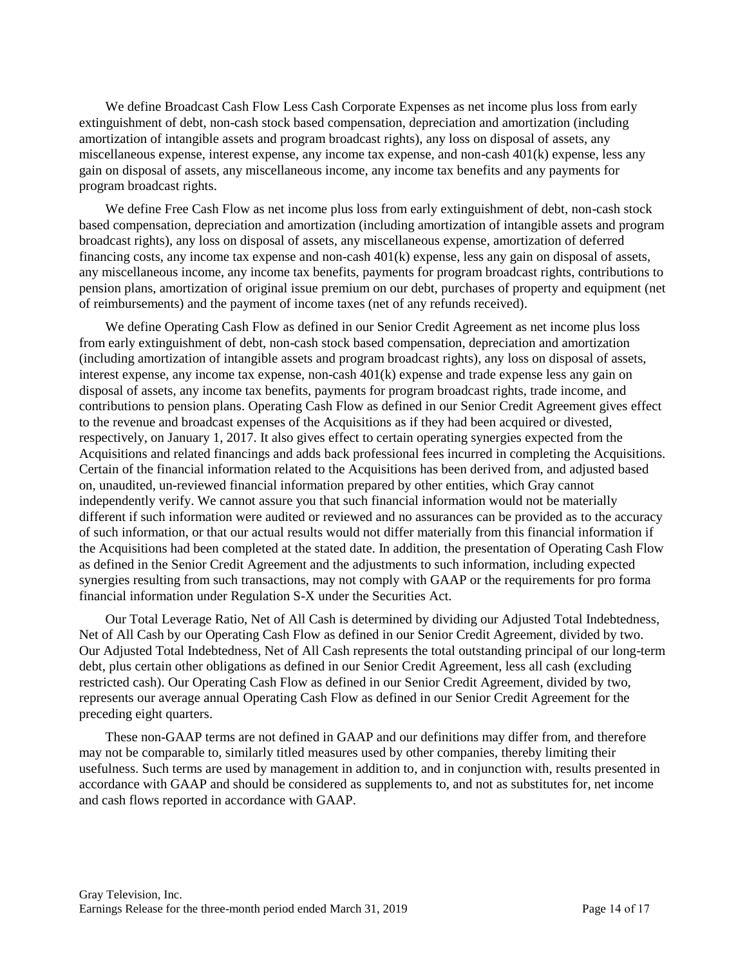We define Broadcast Cash Flow Less Cash Corporate Expenses as net income plus loss from early extinguishment of debt, non-cash stock based compensation, depreciation and amortization (including amortization of intangible assets and program broadcast rights), any loss on disposal of assets, any miscellaneous expense, interest expense, any income tax expense, and non-cash 401(k) expense, less any gain on disposal of assets, any miscellaneous income, any income tax benefits and any payments for program broadcast rights.

We define Free Cash Flow as net income plus loss from early extinguishment of debt, non-cash stock based compensation, depreciation and amortization (including amortization of intangible assets and program broadcast rights), any loss on disposal of assets, any miscellaneous expense, amortization of deferred financing costs, any income tax expense and non-cash 401(k) expense, less any gain on disposal of assets, any miscellaneous income, any income tax benefits, payments for program broadcast rights, contributions to pension plans, amortization of original issue premium on our debt, purchases of property and equipment (net of reimbursements) and the payment of income taxes (net of any refunds received).

We define Operating Cash Flow as defined in our Senior Credit Agreement as net income plus loss from early extinguishment of debt, non-cash stock based compensation, depreciation and amortization (including amortization of intangible assets and program broadcast rights), any loss on disposal of assets, interest expense, any income tax expense, non-cash 401(k) expense and trade expense less any gain on disposal of assets, any income tax benefits, payments for program broadcast rights, trade income, and contributions to pension plans. Operating Cash Flow as defined in our Senior Credit Agreement gives effect to the revenue and broadcast expenses of the Acquisitions as if they had been acquired or divested, respectively, on January 1, 2017. It also gives effect to certain operating synergies expected from the Acquisitions and related financings and adds back professional fees incurred in completing the Acquisitions. Certain of the financial information related to the Acquisitions has been derived from, and adjusted based on, unaudited, un-reviewed financial information prepared by other entities, which Gray cannot independently verify. We cannot assure you that such financial information would not be materially different if such information were audited or reviewed and no assurances can be provided as to the accuracy of such information, or that our actual results would not differ materially from this financial information if the Acquisitions had been completed at the stated date. In addition, the presentation of Operating Cash Flow as defined in the Senior Credit Agreement and the adjustments to such information, including expected synergies resulting from such transactions, may not comply with GAAP or the requirements for pro forma financial information under Regulation S-X under the Securities Act.

Our Total Leverage Ratio, Net of All Cash is determined by dividing our Adjusted Total Indebtedness, Net of All Cash by our Operating Cash Flow as defined in our Senior Credit Agreement, divided by two. Our Adjusted Total Indebtedness, Net of All Cash represents the total outstanding principal of our long-term debt, plus certain other obligations as defined in our Senior Credit Agreement, less all cash (excluding restricted cash). Our Operating Cash Flow as defined in our Senior Credit Agreement, divided by two, represents our average annual Operating Cash Flow as defined in our Senior Credit Agreement for the preceding eight quarters.

These non-GAAP terms are not defined in GAAP and our definitions may differ from, and therefore may not be comparable to, similarly titled measures used by other companies, thereby limiting their usefulness. Such terms are used by management in addition to, and in conjunction with, results presented in accordance with GAAP and should be considered as supplements to, and not as substitutes for, net income and cash flows reported in accordance with GAAP.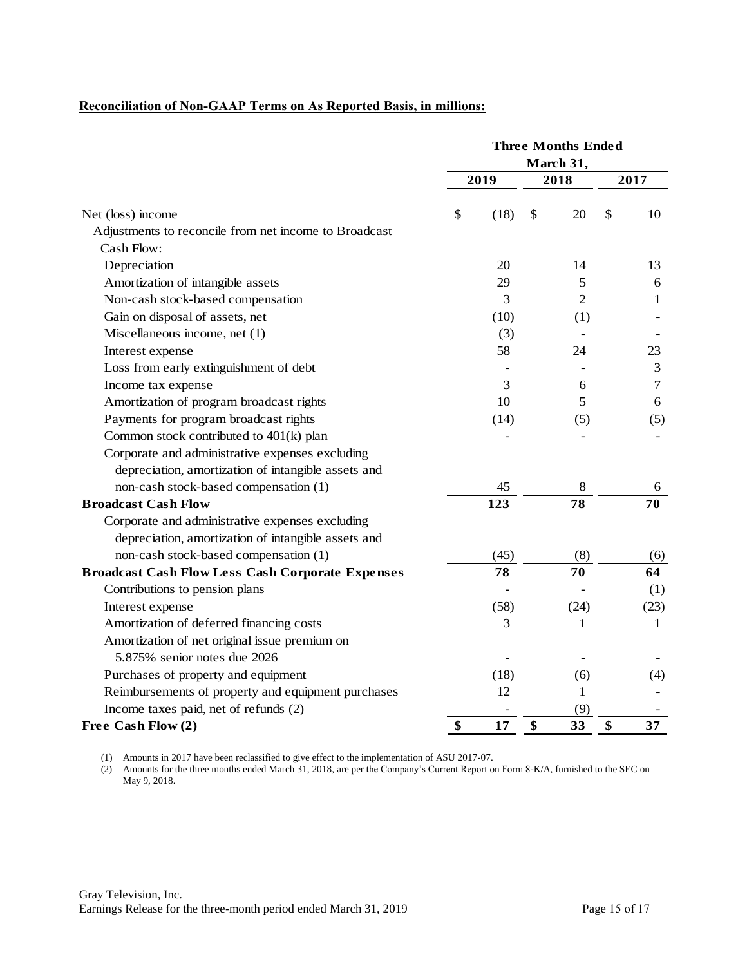# **Reconciliation of Non-GAAP Terms on As Reported Basis, in millions:**

|                                                         |            | <b>Three Months Ended</b> |              |
|---------------------------------------------------------|------------|---------------------------|--------------|
|                                                         |            | March 31,                 |              |
|                                                         | 2019       | 2018                      | 2017         |
| Net (loss) income                                       | (18)<br>\$ | 20<br>\$                  | \$<br>10     |
| Adjustments to reconcile from net income to Broadcast   |            |                           |              |
| Cash Flow:                                              |            |                           |              |
| Depreciation                                            | 20         | 14                        | 13           |
| Amortization of intangible assets                       | 29         | 5                         | 6            |
| Non-cash stock-based compensation                       | 3          | $\overline{2}$            | 1            |
| Gain on disposal of assets, net                         | (10)       | (1)                       |              |
| Miscellaneous income, net (1)                           | (3)        |                           |              |
| Interest expense                                        | 58         | 24                        | 23           |
| Loss from early extinguishment of debt                  |            |                           | 3            |
| Income tax expense                                      | 3          | 6                         | $\tau$       |
| Amortization of program broadcast rights                | 10         | 5                         | 6            |
| Payments for program broadcast rights                   | (14)       | (5)                       | (5)          |
| Common stock contributed to 401(k) plan                 |            |                           |              |
| Corporate and administrative expenses excluding         |            |                           |              |
| depreciation, amortization of intangible assets and     |            |                           |              |
| non-cash stock-based compensation (1)                   | 45         | 8                         | 6            |
| <b>Broadcast Cash Flow</b>                              | 123        | 78                        | 70           |
| Corporate and administrative expenses excluding         |            |                           |              |
| depreciation, amortization of intangible assets and     |            |                           |              |
| non-cash stock-based compensation (1)                   | (45)       | (8)                       | (6)          |
| <b>Broadcast Cash Flow Less Cash Corporate Expenses</b> | 78         | 70                        | 64           |
| Contributions to pension plans                          |            |                           | (1)          |
| Interest expense                                        | (58)       | (24)                      | (23)         |
| Amortization of deferred financing costs                | 3          | 1                         | $\mathbf{1}$ |
| Amortization of net original issue premium on           |            |                           |              |
| 5.875% senior notes due 2026                            |            |                           |              |
| Purchases of property and equipment                     | (18)       | (6)                       | (4)          |
| Reimbursements of property and equipment purchases      | 12         | 1                         |              |
| Income taxes paid, net of refunds (2)                   |            | (9)                       |              |
| Free Cash Flow (2)                                      | \$<br>17   | \$<br>33                  | \$<br>37     |

(1) Amounts in 2017 have been reclassified to give effect to the implementation of ASU 2017-07.

(2) Amounts for the three months ended March 31, 2018, are per the Company's Current Report on Form 8-K/A, furnished to the SEC on May 9, 2018.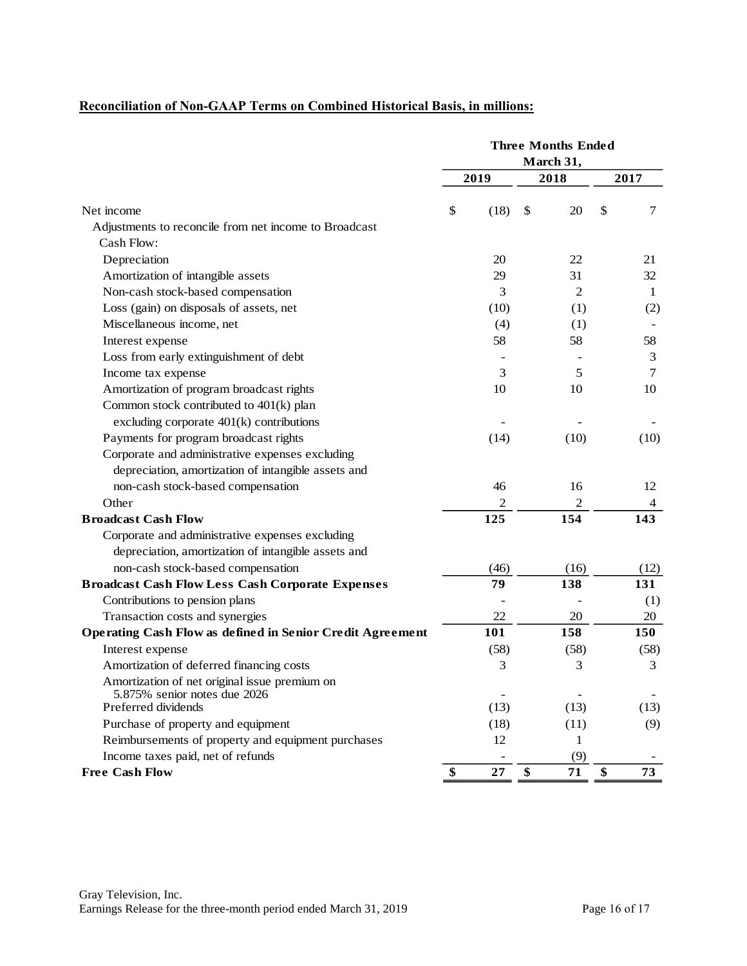# **Reconciliation of Non-GAAP Terms on Combined Historical Basis, in millions:**

|                                                                               |            | <b>Three Months Ended</b> |          |
|-------------------------------------------------------------------------------|------------|---------------------------|----------|
|                                                                               |            | March 31,                 |          |
|                                                                               | 2019       | 2018                      | 2017     |
| Net income                                                                    | \$<br>(18) | \$<br>20                  | \$<br>7  |
| Adjustments to reconcile from net income to Broadcast                         |            |                           |          |
| Cash Flow:                                                                    |            |                           |          |
| Depreciation                                                                  | 20         | 22                        | 21       |
| Amortization of intangible assets                                             | 29         | 31                        | 32       |
| Non-cash stock-based compensation                                             | 3          | $\overline{2}$            | 1        |
| Loss (gain) on disposals of assets, net                                       | (10)       | (1)                       | (2)      |
| Miscellaneous income, net                                                     | (4)        | (1)                       |          |
| Interest expense                                                              | 58         | 58                        | 58       |
| Loss from early extinguishment of debt                                        |            |                           | 3        |
| Income tax expense                                                            | 3          | 5                         | $\tau$   |
| Amortization of program broadcast rights                                      | 10         | 10                        | 10       |
| Common stock contributed to 401(k) plan                                       |            |                           |          |
| excluding corporate $401(k)$ contributions                                    |            |                           |          |
| Payments for program broadcast rights                                         | (14)       | (10)                      | (10)     |
| Corporate and administrative expenses excluding                               |            |                           |          |
| depreciation, amortization of intangible assets and                           |            |                           |          |
| non-cash stock-based compensation                                             | 46         | 16                        | 12       |
| Other                                                                         | 2          | $\overline{c}$            | 4        |
| <b>Broadcast Cash Flow</b>                                                    | 125        | 154                       | 143      |
| Corporate and administrative expenses excluding                               |            |                           |          |
| depreciation, amortization of intangible assets and                           |            |                           |          |
| non-cash stock-based compensation                                             | (46)       | (16)                      | (12)     |
| <b>Broadcast Cash Flow Less Cash Corporate Expenses</b>                       | 79         | 138                       | 131      |
| Contributions to pension plans                                                |            |                           | (1)      |
| Transaction costs and synergies                                               | 22         | 20                        | 20       |
| <b>Operating Cash Flow as defined in Senior Credit Agreement</b>              | 101        | 158                       | 150      |
| Interest expense                                                              | (58)       | (58)                      | (58)     |
| Amortization of deferred financing costs                                      | 3          | 3                         | 3        |
| Amortization of net original issue premium on<br>5.875% senior notes due 2026 |            |                           |          |
| Preferred dividends                                                           | (13)       | (13)                      | (13)     |
| Purchase of property and equipment                                            | (18)       | (11)                      | (9)      |
| Reimbursements of property and equipment purchases                            | 12         | 1                         |          |
| Income taxes paid, net of refunds                                             |            | (9)                       |          |
| <b>Free Cash Flow</b>                                                         | \$<br>27   | \$<br>71                  | \$<br>73 |
|                                                                               |            |                           |          |